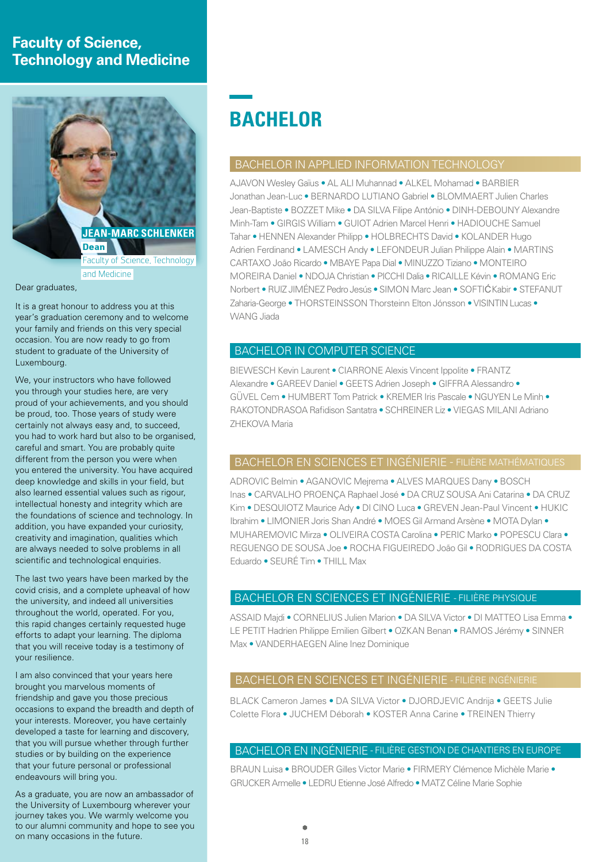## **Faculty of Science, Technology and Medicine**



#### Dear graduates.

It is a great honour to address you at this year's graduation ceremony and to welcome your family and friends on this very special occasion. You are now ready to go from student to graduate of the University of Luxembourg.

We, your instructors who have followed you through your studies here, are very proud of your achievements, and you should be proud, too. Those years of study were certainly not always easy and, to succeed, you had to work hard but also to be organised, careful and smart. You are probably quite different from the person you were when you entered the university. You have acquired deep knowledge and skills in your field, but also learned essential values such as rigour, intellectual honesty and integrity which are the foundations of science and technology. In addition, you have expanded your curiosity, creativity and imagination, qualities which are always needed to solve problems in all scientific and technological enquiries.

The last two years have been marked by the covid crisis, and a complete upheaval of how the university, and indeed all universities throughout the world, operated. For you, this rapid changes certainly requested huge efforts to adapt your learning. The diploma that you will receive today is a testimony of your resilience.

I am also convinced that your years here brought you marvelous moments of friendship and gave you those precious occasions to expand the breadth and depth of your interests. Moreover, you have certainly developed a taste for learning and discovery, that you will pursue whether through further studies or by building on the experience that your future personal or professional endeavours will bring you.

As a graduate, you are now an ambassador of the University of Luxembourg wherever your journey takes you. We warmly welcome you to our alumni community and hope to see you on many occasions in the future.

## **BACHELOR**

## BACHELOR IN APPLIED INFORMATION TECHNOLOGY

AJAVON Wesley Gaïus • AL ALI Muhannad • ALKEL Mohamad • BARBIER Jonathan Jean-Luc • BERNARDO LUTIANO Gabriel • BLOMMAERT Julien Charles Jean-Baptiste • BOZZET Mike • DA SILVA Filipe António • DINH-DEBOUNY Alexandre Minh-Tam • GIRGIS William • GUIOT Adrien Marcel Henri • HADIOUCHE Samuel Tahar • HENNEN Alexander Philipp • HOLBRECHTS David • KOLANDER Hugo Adrien Ferdinand • LAMESCH Andy • LEFONDEUR Julian Philippe Alain • MARTINS CARTAXO João Ricardo • MBAYE Papa Dial • MINUZZO Tiziano • MONTEIRO MOREIRA Daniel • NDOJA Christian • PICCHI Dalia • RICAILLE Kévin • ROMANG Eric Norbert • RUIZ JIMÉNEZ Pedro Jesús • SIMON Marc Jean • SOFTIĆ Kabir • STEFANUT Zaharia-George • THORSTEINSSON Thorsteinn Elton Jónsson • VISINTIN Lucas • WANG Jiada

## BACHELOR IN COMPUTER SCIENCE

BIEWESCH Kevin Laurent • CIARRONE Alexis Vincent Ippolite • FRANTZ Alexandre • GAREEV Daniel • GEETS Adrien Joseph • GIFFRA Alessandro • GÜVEL Cem • HUMBERT Tom Patrick • KREMER Iris Pascale • NGUYEN Le Minh • RAKOTONDRASOA Rafidison Santatra • SCHREINER Liz • VIEGAS MILANI Adriano ZHEKOVA Maria

## BACHELOR EN SCIENCES ET INGÉNIERIE - FILIÈRE MATHÉMATIQUES

ADROVIC Belmin • AGANOVIC Mejrema • ALVES MARQUES Dany • BOSCH Inas • CARVALHO PROENÇA Raphael José • DA CRUZ SOUSA Ani Catarina • DA CRUZ Kim • DESQUIOTZ Maurice Ady • DI CINO Luca • GREVEN Jean-Paul Vincent • HUKIC Ibrahim • LIMONIER Joris Shan André • MOES Gil Armand Arsène • MOTA Dylan • MUHAREMOVIC Mirza • OLIVEIRA COSTA Carolina • PERIC Marko • POPESCU Clara • REGUENGO DE SOUSA Joe • ROCHA FIGUEIREDO João Gil • RODRIGUES DA COSTA Eduardo • SEURÉ Tim • THILL Max

## BACHELOR EN SCIENCES ET INGÉNIERIE - FILIÈRE PHYSIQUE

ASSAID Majdi • CORNELIUS Julien Marion • DA SILVA Victor • DI MATTEO Lisa Emma • LE PETIT Hadrien Philippe Emilien Gilbert • OZKAN Benan • RAMOS Jérémy • SINNER Max • VANDERHAEGEN Aline Inez Dominique

## BACHELOR EN SCIENCES ET INGÉNIERIE - FILIÈRE INGÉNIERIE

BLACK Cameron James • DA SILVA Victor • DJORDJEVIC Andrija • GEETS Julie Colette Flora • JUCHEM Déborah • KOSTER Anna Carine • TREINEN Thierry

## BACHELOR EN INGÉNIERIE - FILIÈRE GESTION DE CHANTIERS EN EUROPE

BRAUN Luisa • BROUDER Gilles Victor Marie • FIRMERY Clémence Michèle Marie • GRUCKER Armelle • LEDRU Etienne José Alfredo • MATZ Céline Marie Sophie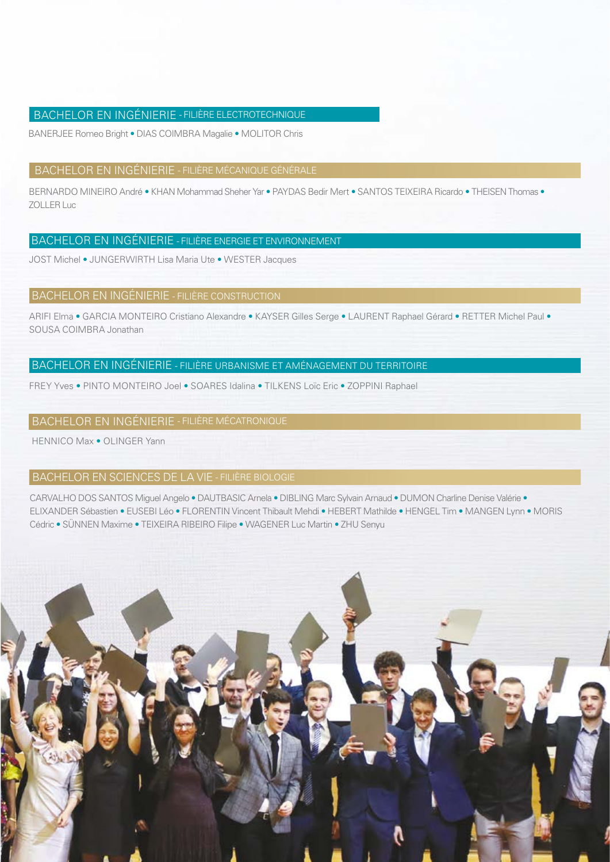## BACHELOR EN INGÉNIERIE - FILIÈRE ELECTROTECHNIQUE

BANERJEE Romeo Bright • DIAS COIMBRA Magalie • MOLITOR Chris

#### BACHELOR EN INGÉNIERIE - FILIÈRE MÉCANIQUE GÉNÉRALE

BERNARDO MINEIRO André • KHAN Mohammad Sheher Yar • PAYDAS Bedir Mert • SANTOS TEIXEIRA Ricardo • THEISEN Thomas • ZOLLER Luc

## BACHELOR EN INGÉNIERIE - FILIÈRE ENERGIE ET ENVIRONNEMENT

JOST Michel • JUNGERWIRTH Lisa Maria Ute • WESTER Jacques

#### BACHELOR EN INGÉNIERIE - FILIÈRE CONSTRUCTION

ARIFI Elma • GARCIA MONTEIRO Cristiano Alexandre • KAYSER Gilles Serge • LAURENT Raphael Gérard • RETTER Michel Paul • SOUSA COIMBRA Jonathan

## BACHELOR EN INGÉNIERIE - FILIÈRE URBANISME ET AMÉNAGEMENT DU TERRITOIRE

FREY Yves • PINTO MONTEIRO Joel • SOARES Idalina • TILKENS Loïc Eric • ZOPPINI Raphael

## BACHELOR EN INGÉNIERIE - FILIÈRE MÉCATRONIQUE

HENNICO Max • OLINGER Yann

## BACHELOR EN SCIENCES DE LA VIE - FILIÈRE BIOLOGIE

CARVALHO DOS SANTOS Miguel Angelo • DAUTBASIC Arnela • DIBLING Marc Sylvain Arnaud • DUMON Charline Denise Valérie • ELIXANDER Sébastien • EUSEBI Léo • FLORENTIN Vincent Thibault Mehdi • HEBERT Mathilde • HENGEL Tim • MANGEN Lynn • MORIS Cédric • SÜNNEN Maxime • TEIXEIRA RIBEIRO Filipe • WAGENER Luc Martin • ZHU Senyu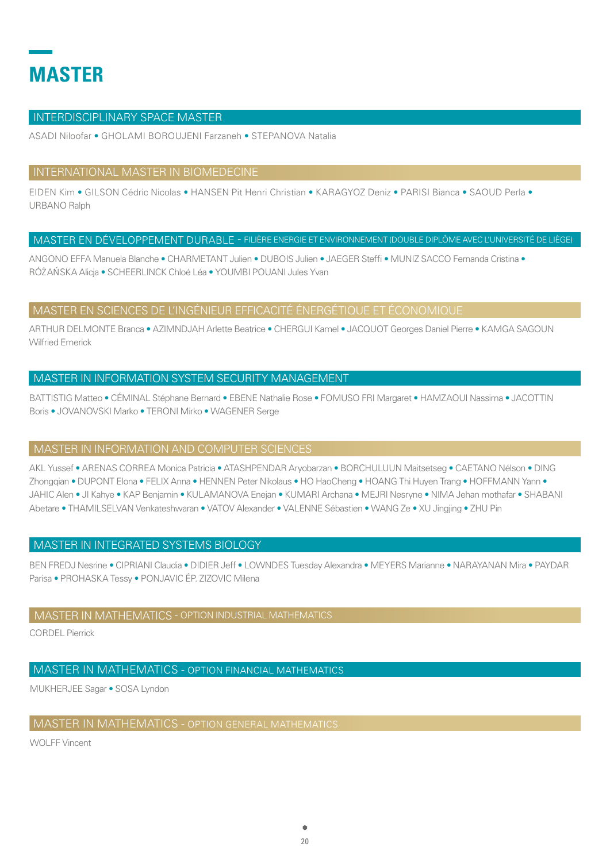# **MASTER**

## **INTERDISCIPLINARY SPACE MASTER**

ASADI Niloofar · GHOLAMI BOROUJENI Farzaneh · STEPANOVA Natalia

## INTERNATIONAL MASTER IN BIOMEDECINE

EIDEN Kim • GILSON Cédric Nicolas • HANSEN Pit Henri Christian • KARAGYOZ Deniz • PARISI Bianca • SAOUD Perla • **URBANO Ralph** 

## MASTER EN DÉVELOPPEMENT DURABLE - FILIÈRE ENERGIE ET ENVIRONNEMENT (DOUBLE DIPLÔME AVEC L'UNIVERSITÉ DE LIÈGE)

ANGONO EFFA Manuela Blanche · CHARMETANT Julien · DUBOIS Julien · JAEGER Steffi · MUNIZ SACCO Fernanda Cristina · RÓŻAŃSKA Alicja • SCHEERLINCK Chloé Léa • YOUMBI POUANI Jules Yvan

## MASTER EN SCIENCES DE L'INGÉNIEUR EFFICACITÉ ÉNERGÉTIQUE ET ÉCONOMIQUE

ARTHUR DELMONTE Branca · AZIMNDJAH Arlette Beatrice · CHERGUI Kamel · JACQUOT Georges Daniel Pierre · KAMGA SAGOUN **Wilfried Emerick** 

## MASTER IN INFORMATION SYSTEM SECURITY MANAGEMENT

BATTISTIG Matteo • CÉMINAL Stéphane Bernard • EBENE Nathalie Rose • FOMUSO FRI Margaret • HAMZAOUI Nassima • JACOTTIN Boris • JOVANOVSKI Marko • TERONI Mirko • WAGENER Serge

## MASTER IN INFORMATION AND COMPUTER SCIENCES

AKL Yussef • ARENAS CORREA Monica Patricia • ATASHPENDAR Arvobarzan • BORCHULUUN Maitsetseg • CAETANO Nélson • DING Zhongqian • DUPONT Elona • FELIX Anna • HENNEN Peter Nikolaus • HO HaoCheng • HOANG Thi Huyen Trang • HOFFMANN Yann • JAHIC Alen . JI Kahye . KAP Benjamin . KULAMANOVA Enejan . KUMARI Archana . MEJRI Nesryne . NIMA Jehan mothafar . SHABANI Abetare . THAMILSELVAN Venkateshwaran . VATOV Alexander . VALENNE Sébastien . WANG Ze . XU Jingjing . ZHU Pin

## MASTER IN INTEGRATED SYSTEMS BIOLOGY

BEN FREDJ Nesrine . CIPRIANI Claudia . DIDIER Jeff . LOWNDES Tuesday Alexandra . MEYERS Marianne . NARAYANAN Mira . PAYDAR Parisa • PROHASKA Tessy • PONJAVIC ÉP. ZIZOVIC Milena

## MASTER IN MATHEMATICS - OPTION INDUSTRIAL MATHEMATICS

CORDEL Pierrick

## MASTER IN MATHEMATICS - OPTION FINANCIAL MATHEMATICS

MUKHERJEE Sagar · SOSA Lyndon

## **MASTER IN MATHEMATICS - OPTION GENERAL MATHEMATICS**

**WOLFF Vincent**